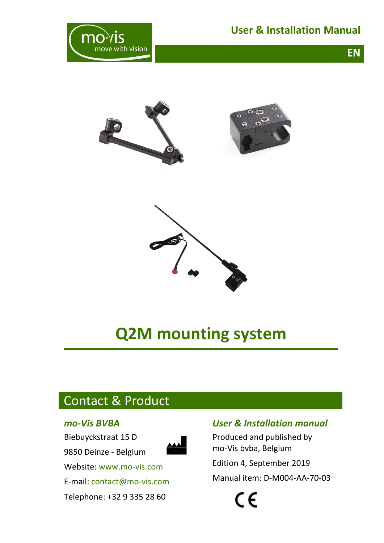**EN**







# **Q2M mounting system**

# <span id="page-0-0"></span>Contact & Product

#### *mo-Vis BVBA*

Biebuyckstraat 15 D

9850 Deinze - Belgium



Website: [www.mo-vis.com](http://www.mo-vis.com/) E-mail: [contact@mo-vis.com](mailto:contact@mo-vis.com) Telephone: +32 9 335 28 60

### *User & Installation manual*

Produced and published by mo-Vis bvba, Belgium Edition 4, September 2019 Manual item: D-M004-AA-70-03

 $\epsilon$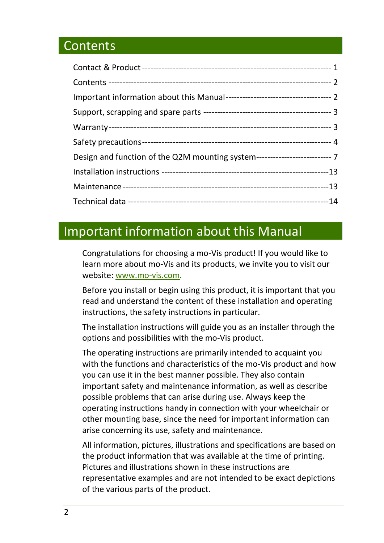# <span id="page-1-0"></span>**Contents**

| Design and function of the Q2M mounting system---------------------------- 7 |  |
|------------------------------------------------------------------------------|--|
|                                                                              |  |
|                                                                              |  |
|                                                                              |  |

# <span id="page-1-1"></span>Important information about this Manual

Congratulations for choosing a mo-Vis product! If you would like to learn more about mo-Vis and its products, we invite you to visit our website: [www.mo-vis.com.](http://www.mo-vis.com/)

Before you install or begin using this product, it is important that you read and understand the content of these installation and operating instructions, the safety instructions in particular.

The installation instructions will guide you as an installer through the options and possibilities with the mo-Vis product.

The operating instructions are primarily intended to acquaint you with the functions and characteristics of the mo-Vis product and how you can use it in the best manner possible. They also contain important safety and maintenance information, as well as describe possible problems that can arise during use. Always keep the operating instructions handy in connection with your wheelchair or other mounting base, since the need for important information can arise concerning its use, safety and maintenance.

All information, pictures, illustrations and specifications are based on the product information that was available at the time of printing. Pictures and illustrations shown in these instructions are representative examples and are not intended to be exact depictions of the various parts of the product.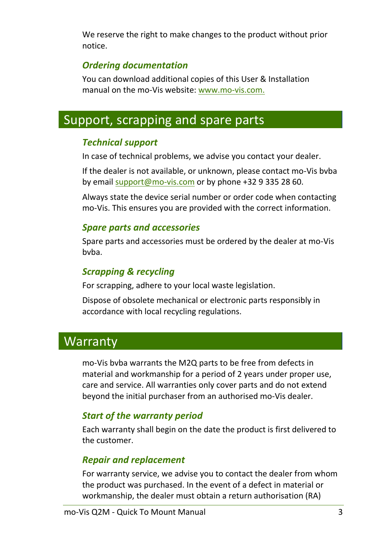We reserve the right to make changes to the product without prior notice.

### *Ordering documentation*

You can download additional copies of this User & Installation manual on the mo-Vis website: [www.mo-vis.com.](http://www.mo-vis.com/)

# <span id="page-2-0"></span>Support, scrapping and spare parts

### *Technical support*

In case of technical problems, we advise you contact your dealer.

If the dealer is not available, or unknown, please contact mo-Vis bvba by email [support@mo-vis.com](mailto:support@mo-vis.com) or by phone +32 9 335 28 60.

Always state the device serial number or order code when contacting mo-Vis. This ensures you are provided with the correct information.

#### *Spare parts and accessories*

Spare parts and accessories must be ordered by the dealer at mo-Vis bvba.

#### *Scrapping & recycling*

For scrapping, adhere to your local waste legislation.

Dispose of obsolete mechanical or electronic parts responsibly in accordance with local recycling regulations.

# <span id="page-2-1"></span>**Warranty**

mo-Vis bvba warrants the M2Q parts to be free from defects in material and workmanship for a period of 2 years under proper use, care and service. All warranties only cover parts and do not extend beyond the initial purchaser from an authorised mo-Vis dealer.

### *Start of the warranty period*

Each warranty shall begin on the date the product is first delivered to the customer.

### *Repair and replacement*

For warranty service, we advise you to contact the dealer from whom the product was purchased. In the event of a defect in material or workmanship, the dealer must obtain a return authorisation (RA)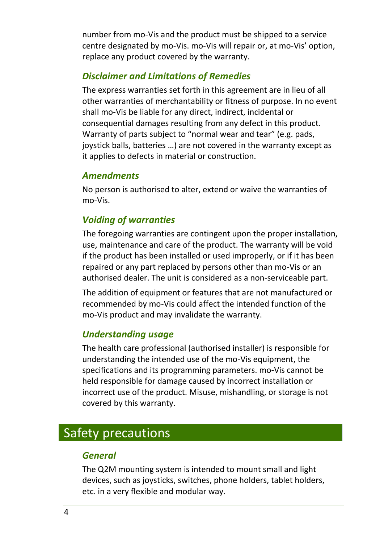number from mo-Vis and the product must be shipped to a service centre designated by mo-Vis. mo-Vis will repair or, at mo-Vis' option, replace any product covered by the warranty.

### *Disclaimer and Limitations of Remedies*

The express warranties set forth in this agreement are in lieu of all other warranties of merchantability or fitness of purpose. In no event shall mo-Vis be liable for any direct, indirect, incidental or consequential damages resulting from any defect in this product. Warranty of parts subject to "normal wear and tear" (e.g. pads, joystick balls, batteries …) are not covered in the warranty except as it applies to defects in material or construction.

#### *Amendments*

No person is authorised to alter, extend or waive the warranties of mo-Vis.

#### *Voiding of warranties*

The foregoing warranties are contingent upon the proper installation, use, maintenance and care of the product. The warranty will be void if the product has been installed or used improperly, or if it has been repaired or any part replaced by persons other than mo-Vis or an authorised dealer. The unit is considered as a non-serviceable part.

The addition of equipment or features that are not manufactured or recommended by mo-Vis could affect the intended function of the mo-Vis product and may invalidate the warranty.

#### *Understanding usage*

The health care professional (authorised installer) is responsible for understanding the intended use of the mo-Vis equipment, the specifications and its programming parameters. mo-Vis cannot be held responsible for damage caused by incorrect installation or incorrect use of the product. Misuse, mishandling, or storage is not covered by this warranty.

# <span id="page-3-0"></span>Safety precautions

#### *General*

The Q2M mounting system is intended to mount small and light devices, such as joysticks, switches, phone holders, tablet holders, etc. in a very flexible and modular way.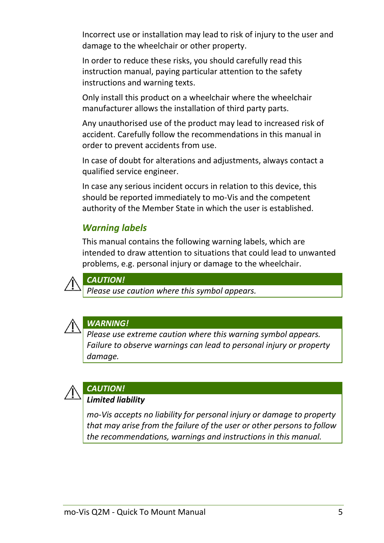Incorrect use or installation may lead to risk of injury to the user and damage to the wheelchair or other property.

In order to reduce these risks, you should carefully read this instruction manual, paying particular attention to the safety instructions and warning texts.

Only install this product on a wheelchair where the wheelchair manufacturer allows the installation of third party parts.

Any unauthorised use of the product may lead to increased risk of accident. Carefully follow the recommendations in this manual in order to prevent accidents from use.

In case of doubt for alterations and adjustments, always contact a qualified service engineer.

In case any serious incident occurs in relation to this device, this should be reported immediately to mo-Vis and the competent authority of the Member State in which the user is established.

### *Warning labels*

This manual contains the following warning labels, which are intended to draw attention to situations that could lead to unwanted problems, e.g. personal injury or damage to the wheelchair.



*CAUTION!*

*Please use caution where this symbol appears.*



#### *WARNING!*

*Please use extreme caution where this warning symbol appears. Failure to observe warnings can lead to personal injury or property damage.*



# *CAUTION!*

#### *Limited liability*

*mo-Vis accepts no liability for personal injury or damage to property that may arise from the failure of the user or other persons to follow the recommendations, warnings and instructions in this manual.*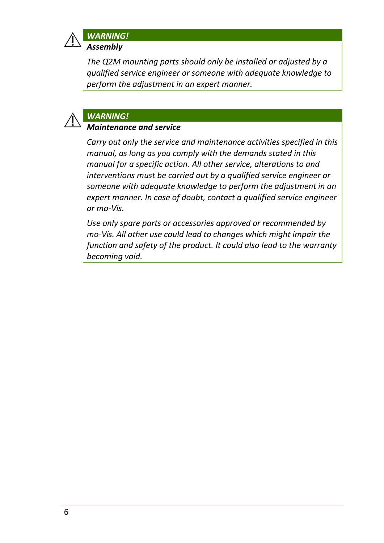

## *WARNING!*

*Assembly*

*The Q2M mounting parts should only be installed or adjusted by a qualified service engineer or someone with adequate knowledge to perform the adjustment in an expert manner.*

#### *WARNING!*

#### *Maintenance and service*

*Carry out only the service and maintenance activities specified in this manual, as long as you comply with the demands stated in this manual for a specific action. All other service, alterations to and interventions must be carried out by a qualified service engineer or someone with adequate knowledge to perform the adjustment in an expert manner. In case of doubt, contact a qualified service engineer or mo-Vis.*

*Use only spare parts or accessories approved or recommended by mo-Vis. All other use could lead to changes which might impair the function and safety of the product. It could also lead to the warranty becoming void.*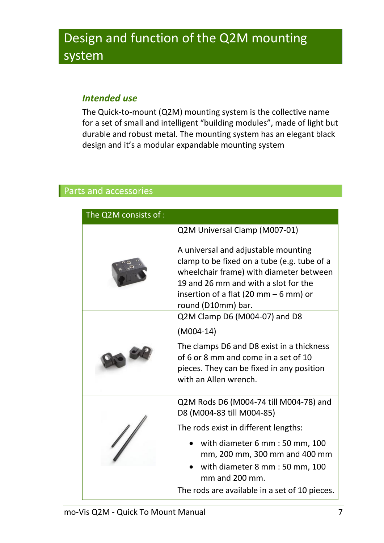# <span id="page-6-0"></span>Design and function of the Q2M mounting system

### *Intended use*

The Quick-to-mount (Q2M) mounting system is the collective name for a set of small and intelligent "building modules", made of light but durable and robust metal. The mounting system has an elegant black design and it's a modular expandable mounting system

### Parts and accessories

| The Q2M consists of : |                                                                                                                                                                                                                                       |  |
|-----------------------|---------------------------------------------------------------------------------------------------------------------------------------------------------------------------------------------------------------------------------------|--|
|                       | Q2M Universal Clamp (M007-01)                                                                                                                                                                                                         |  |
|                       | A universal and adjustable mounting<br>clamp to be fixed on a tube (e.g. tube of a<br>wheelchair frame) with diameter between<br>19 and 26 mm and with a slot for the<br>insertion of a flat (20 mm $-6$ mm) or<br>round (D10mm) bar. |  |
|                       | Q2M Clamp D6 (M004-07) and D8                                                                                                                                                                                                         |  |
|                       | $(M004-14)$                                                                                                                                                                                                                           |  |
|                       | The clamps D6 and D8 exist in a thickness<br>of 6 or 8 mm and come in a set of 10<br>pieces. They can be fixed in any position<br>with an Allen wrench.                                                                               |  |
|                       | Q2M Rods D6 (M004-74 till M004-78) and<br>D8 (M004-83 till M004-85)                                                                                                                                                                   |  |
|                       | The rods exist in different lengths:                                                                                                                                                                                                  |  |
|                       | with diameter 6 mm : 50 mm, 100<br>mm, 200 mm, 300 mm and 400 mm<br>with diameter 8 mm : 50 mm, 100<br>mm and 200 mm.<br>The rods are available in a set of 10 pieces.                                                                |  |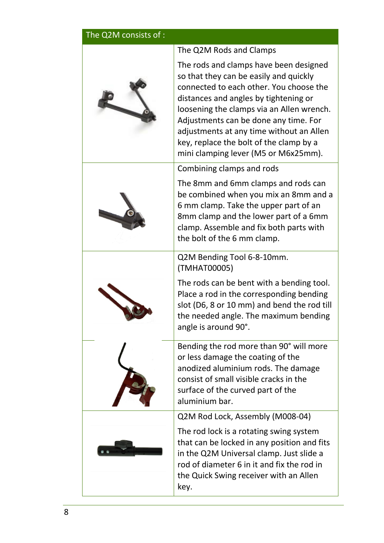| The Q2M consists of : |                                                                                                                                                                                                                                                                                                                                                                                           |  |
|-----------------------|-------------------------------------------------------------------------------------------------------------------------------------------------------------------------------------------------------------------------------------------------------------------------------------------------------------------------------------------------------------------------------------------|--|
|                       | The Q2M Rods and Clamps                                                                                                                                                                                                                                                                                                                                                                   |  |
|                       | The rods and clamps have been designed<br>so that they can be easily and quickly<br>connected to each other. You choose the<br>distances and angles by tightening or<br>loosening the clamps via an Allen wrench.<br>Adjustments can be done any time. For<br>adjustments at any time without an Allen<br>key, replace the bolt of the clamp by a<br>mini clamping lever (M5 or M6x25mm). |  |
|                       | Combining clamps and rods                                                                                                                                                                                                                                                                                                                                                                 |  |
|                       | The 8mm and 6mm clamps and rods can<br>be combined when you mix an 8mm and a<br>6 mm clamp. Take the upper part of an<br>8mm clamp and the lower part of a 6mm<br>clamp. Assemble and fix both parts with<br>the bolt of the 6 mm clamp.                                                                                                                                                  |  |
|                       | Q2M Bending Tool 6-8-10mm.<br>(TMHAT00005)                                                                                                                                                                                                                                                                                                                                                |  |
|                       | The rods can be bent with a bending tool.<br>Place a rod in the corresponding bending<br>slot (D6, 8 or 10 mm) and bend the rod till<br>the needed angle. The maximum bending<br>angle is around 90°.                                                                                                                                                                                     |  |
|                       | Bending the rod more than 90° will more<br>or less damage the coating of the<br>anodized aluminium rods. The damage<br>consist of small visible cracks in the<br>surface of the curved part of the<br>aluminium bar.                                                                                                                                                                      |  |
|                       | Q2M Rod Lock, Assembly (M008-04)                                                                                                                                                                                                                                                                                                                                                          |  |
|                       | The rod lock is a rotating swing system<br>that can be locked in any position and fits<br>in the Q2M Universal clamp. Just slide a<br>rod of diameter 6 in it and fix the rod in<br>the Quick Swing receiver with an Allen<br>key.                                                                                                                                                        |  |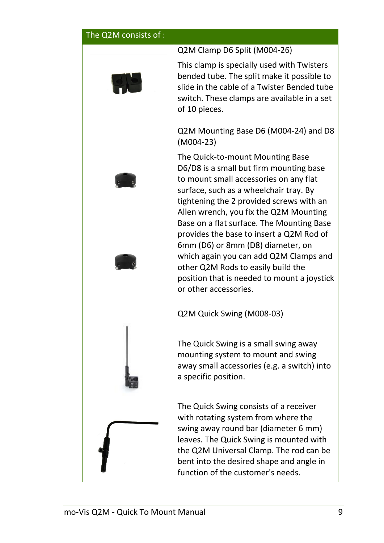| The Q2M consists of : |                                                                                                                                                                                                                                                                                                                                                                                                                                                                                                                                             |  |
|-----------------------|---------------------------------------------------------------------------------------------------------------------------------------------------------------------------------------------------------------------------------------------------------------------------------------------------------------------------------------------------------------------------------------------------------------------------------------------------------------------------------------------------------------------------------------------|--|
|                       | Q2M Clamp D6 Split (M004-26)                                                                                                                                                                                                                                                                                                                                                                                                                                                                                                                |  |
|                       | This clamp is specially used with Twisters<br>bended tube. The split make it possible to<br>slide in the cable of a Twister Bended tube<br>switch. These clamps are available in a set<br>of 10 pieces.                                                                                                                                                                                                                                                                                                                                     |  |
|                       | Q2M Mounting Base D6 (M004-24) and D8<br>$(M004-23)$                                                                                                                                                                                                                                                                                                                                                                                                                                                                                        |  |
|                       | The Quick-to-mount Mounting Base<br>D6/D8 is a small but firm mounting base<br>to mount small accessories on any flat<br>surface, such as a wheelchair tray. By<br>tightening the 2 provided screws with an<br>Allen wrench, you fix the Q2M Mounting<br>Base on a flat surface. The Mounting Base<br>provides the base to insert a Q2M Rod of<br>6mm (D6) or 8mm (D8) diameter, on<br>which again you can add Q2M Clamps and<br>other Q2M Rods to easily build the<br>position that is needed to mount a joystick<br>or other accessories. |  |
|                       | Q2M Quick Swing (M008-03)                                                                                                                                                                                                                                                                                                                                                                                                                                                                                                                   |  |
|                       | The Quick Swing is a small swing away<br>mounting system to mount and swing<br>away small accessories (e.g. a switch) into<br>a specific position.                                                                                                                                                                                                                                                                                                                                                                                          |  |
|                       | The Quick Swing consists of a receiver<br>with rotating system from where the<br>swing away round bar (diameter 6 mm)<br>leaves. The Quick Swing is mounted with<br>the Q2M Universal Clamp. The rod can be<br>bent into the desired shape and angle in<br>function of the customer's needs.                                                                                                                                                                                                                                                |  |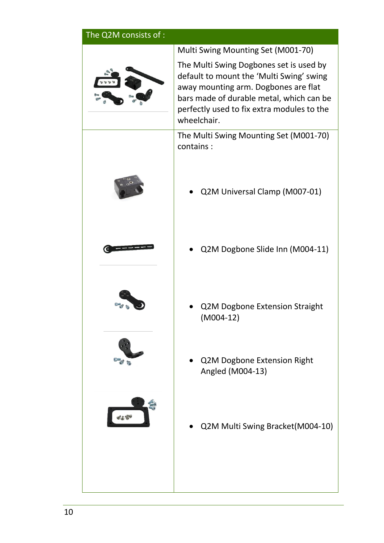| The Q2M consists of : |                                                                                                                                                                                                                                      |
|-----------------------|--------------------------------------------------------------------------------------------------------------------------------------------------------------------------------------------------------------------------------------|
|                       | Multi Swing Mounting Set (M001-70)                                                                                                                                                                                                   |
|                       | The Multi Swing Dogbones set is used by<br>default to mount the 'Multi Swing' swing<br>away mounting arm. Dogbones are flat<br>bars made of durable metal, which can be<br>perfectly used to fix extra modules to the<br>wheelchair. |
|                       | The Multi Swing Mounting Set (M001-70)<br>contains:                                                                                                                                                                                  |
|                       | Q2M Universal Clamp (M007-01)                                                                                                                                                                                                        |
|                       | Q2M Dogbone Slide Inn (M004-11)                                                                                                                                                                                                      |
|                       | Q2M Dogbone Extension Straight<br>$(M004-12)$                                                                                                                                                                                        |
|                       | Q2M Dogbone Extension Right<br>Angled (M004-13)                                                                                                                                                                                      |
|                       | Q2M Multi Swing Bracket(M004-10)                                                                                                                                                                                                     |
|                       |                                                                                                                                                                                                                                      |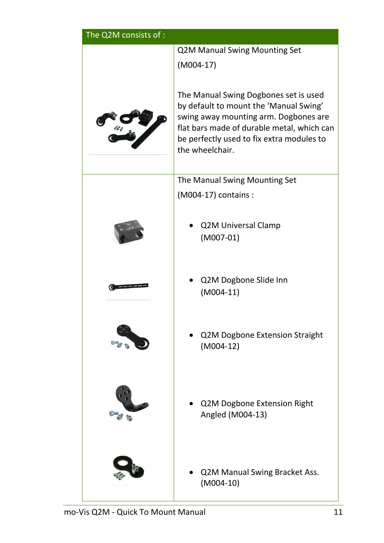| The Q2M consists of : |                                                                                     |  |
|-----------------------|-------------------------------------------------------------------------------------|--|
|                       | <b>Q2M Manual Swing Mounting Set</b>                                                |  |
|                       | $(M004-17)$                                                                         |  |
|                       | The Manual Swing Dogbones set is used                                               |  |
|                       | by default to mount the 'Manual Swing'                                              |  |
|                       | swing away mounting arm. Dogbones are<br>flat bars made of durable metal, which can |  |
|                       | be perfectly used to fix extra modules to                                           |  |
|                       | the wheelchair.                                                                     |  |
|                       | The Manual Swing Mounting Set                                                       |  |
|                       | (M004-17) contains :                                                                |  |
|                       |                                                                                     |  |
|                       | <b>Q2M Universal Clamp</b>                                                          |  |
|                       | $(M007-01)$                                                                         |  |
|                       |                                                                                     |  |
|                       | Q2M Dogbone Slide Inn                                                               |  |
|                       | $(M004-11)$                                                                         |  |
|                       |                                                                                     |  |
|                       | Q2M Dogbone Extension Straight                                                      |  |
|                       | $(M004-12)$                                                                         |  |
|                       |                                                                                     |  |
|                       |                                                                                     |  |
|                       | Q2M Dogbone Extension Right                                                         |  |
|                       | Angled (M004-13)                                                                    |  |
|                       |                                                                                     |  |
|                       |                                                                                     |  |
|                       | Q2M Manual Swing Bracket Ass.                                                       |  |
|                       | $(M004-10)$                                                                         |  |
|                       |                                                                                     |  |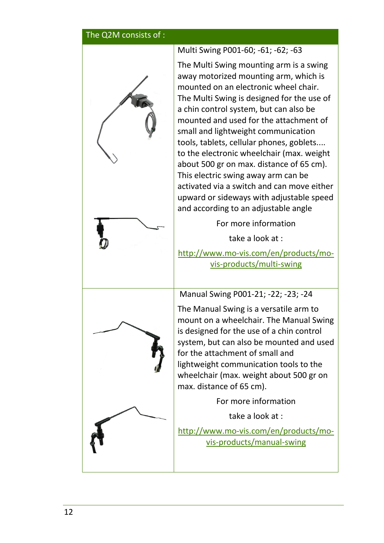#### The Q2M consists of :



Multi Swing P001-60; -61; -62; -63 The Multi Swing mounting arm is a swing away motorized mounting arm, which is mounted on an electronic wheel chair. The Multi Swing is designed for the use of a chin control system, but can also be mounted and used for the attachment of small and lightweight communication tools, tablets, cellular phones, goblets.... to the electronic wheelchair (max. weight about 500 gr on max. distance of 65 cm). This electric swing away arm can be activated via a switch and can move either upward or sideways with adjustable speed and according to an adjustable angle

For more information

take a look at :

[http://www.mo-vis.com/en/products/mo](http://www.mo-vis.com/en/products/mo-vis-products/multi-swing)[vis-products/multi-swing](http://www.mo-vis.com/en/products/mo-vis-products/multi-swing)

Manual Swing P001-21; -22; -23; -24

The Manual Swing is a versatile arm to mount on a wheelchair. The Manual Swing is designed for the use of a chin control system, but can also be mounted and used for the attachment of small and lightweight communication tools to the wheelchair (max. weight about 500 gr on max. distance of 65 cm).

For more information

take a look at :

[http://www.mo-vis.com/en/products/mo](http://www.mo-vis.com/en/products/mo-vis-products/manual-swing)[vis-products/manual-swing](http://www.mo-vis.com/en/products/mo-vis-products/manual-swing)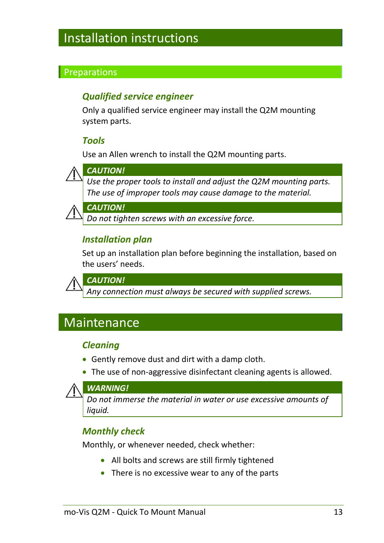# <span id="page-12-0"></span>Installation instructions

#### **Preparations**

### *Qualified service engineer*

Only a qualified service engineer may install the Q2M mounting system parts.

#### *Tools*

Use an Allen wrench to install the Q2M mounting parts.



#### *CAUTION!*

*Use the proper tools to install and adjust the Q2M mounting parts. The use of improper tools may cause damage to the material.*

*CAUTION!*

*Do not tighten screws with an excessive force.* 

#### *Installation plan*

Set up an installation plan before beginning the installation, based on the users' needs.



*CAUTION!*

*Any connection must always be secured with supplied screws.*

# <span id="page-12-1"></span>Maintenance

#### *Cleaning*

- Gently remove dust and dirt with a damp cloth.
- The use of non-aggressive disinfectant cleaning agents is allowed.



*Do not immerse the material in water or use excessive amounts of liquid.*

### *Monthly check*

Monthly, or whenever needed, check whether:

- All bolts and screws are still firmly tightened
- There is no excessive wear to any of the parts